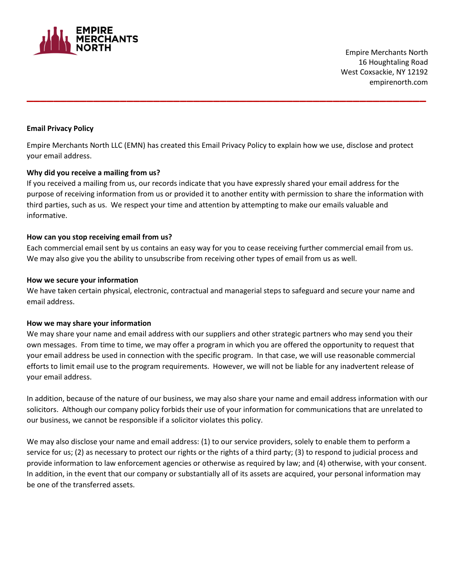

 Empire Merchants North 16 Houghtaling Road West Coxsackie, NY 12192 empirenorth.com

# **Email Privacy Policy**

Empire Merchants North LLC (EMN) has created this Email Privacy Policy to explain how we use, disclose and protect your email address.

**\_\_\_\_\_\_\_\_\_\_\_\_\_\_\_\_\_\_\_\_\_\_\_\_\_\_\_\_\_\_\_\_\_\_\_\_\_\_\_\_\_\_\_\_\_\_\_\_\_\_\_\_\_\_\_\_\_\_\_\_**

### **Why did you receive a mailing from us?**

If you received a mailing from us, our records indicate that you have expressly shared your email address for the purpose of receiving information from us or provided it to another entity with permission to share the information with third parties, such as us. We respect your time and attention by attempting to make our emails valuable and informative.

## **How can you stop receiving email from us?**

Each commercial email sent by us contains an easy way for you to cease receiving further commercial email from us. We may also give you the ability to unsubscribe from receiving other types of email from us as well.

### **How we secure your information**

We have taken certain physical, electronic, contractual and managerial steps to safeguard and secure your name and email address.

### **How we may share your information**

We may share your name and email address with our suppliers and other strategic partners who may send you their own messages. From time to time, we may offer a program in which you are offered the opportunity to request that your email address be used in connection with the specific program. In that case, we will use reasonable commercial efforts to limit email use to the program requirements. However, we will not be liable for any inadvertent release of your email address.

In addition, because of the nature of our business, we may also share your name and email address information with our solicitors. Although our company policy forbids their use of your information for communications that are unrelated to our business, we cannot be responsible if a solicitor violates this policy.

We may also disclose your name and email address: (1) to our service providers, solely to enable them to perform a service for us; (2) as necessary to protect our rights or the rights of a third party; (3) to respond to judicial process and provide information to law enforcement agencies or otherwise as required by law; and (4) otherwise, with your consent. In addition, in the event that our company or substantially all of its assets are acquired, your personal information may be one of the transferred assets.